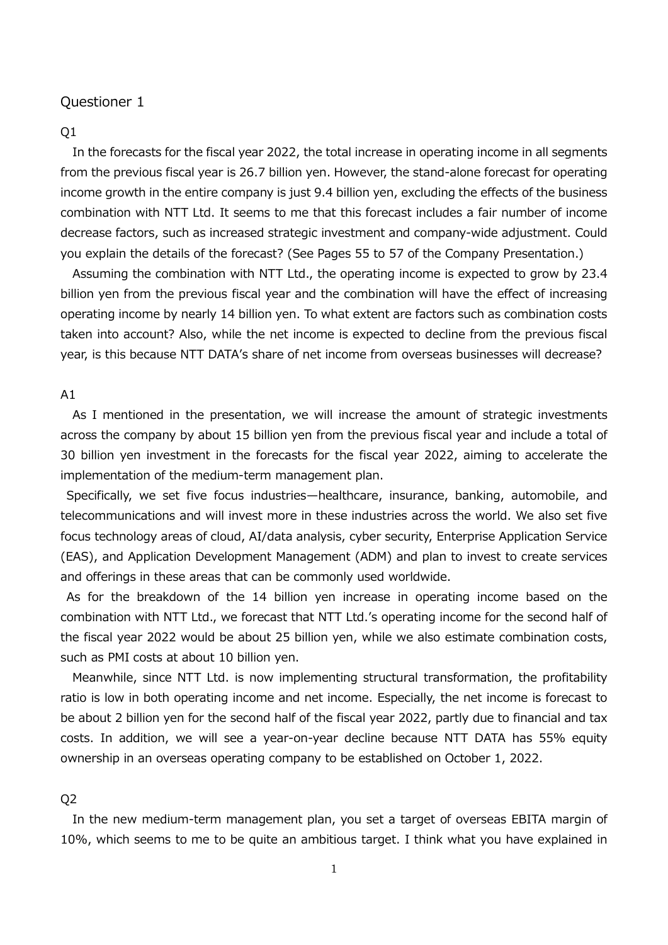#### $O<sub>1</sub>$

In the forecasts for the fiscal year 2022, the total increase in operating income in all segments from the previous fiscal year is 26.7 billion yen. However, the stand-alone forecast for operating income growth in the entire company is just 9.4 billion yen, excluding the effects of the business combination with NTT Ltd. It seems to me that this forecast includes a fair number of income decrease factors, such as increased strategic investment and company-wide adjustment. Could you explain the details of the forecast? (See Pages 55 to 57 of the Company Presentation.)

Assuming the combination with NTT Ltd., the operating income is expected to grow by 23.4 billion yen from the previous fiscal year and the combination will have the effect of increasing operating income by nearly 14 billion yen. To what extent are factors such as combination costs taken into account? Also, while the net income is expected to decline from the previous fiscal year, is this because NTT DATA's share of net income from overseas businesses will decrease?

#### A1

As I mentioned in the presentation, we will increase the amount of strategic investments across the company by about 15 billion yen from the previous fiscal year and include a total of 30 billion yen investment in the forecasts for the fiscal year 2022, aiming to accelerate the implementation of the medium-term management plan.

Specifically, we set five focus industries—healthcare, insurance, banking, automobile, and telecommunications and will invest more in these industries across the world. We also set five focus technology areas of cloud, AI/data analysis, cyber security, Enterprise Application Service (EAS), and Application Development Management (ADM) and plan to invest to create services and offerings in these areas that can be commonly used worldwide.

As for the breakdown of the 14 billion yen increase in operating income based on the combination with NTT Ltd., we forecast that NTT Ltd.'s operating income for the second half of the fiscal year 2022 would be about 25 billion yen, while we also estimate combination costs, such as PMI costs at about 10 billion yen.

Meanwhile, since NTT Ltd. is now implementing structural transformation, the profitability ratio is low in both operating income and net income. Especially, the net income is forecast to be about 2 billion yen for the second half of the fiscal year 2022, partly due to financial and tax costs. In addition, we will see a year-on-year decline because NTT DATA has 55% equity ownership in an overseas operating company to be established on October 1, 2022.

#### Q2

In the new medium-term management plan, you set a target of overseas EBITA margin of 10%, which seems to me to be quite an ambitious target. I think what you have explained in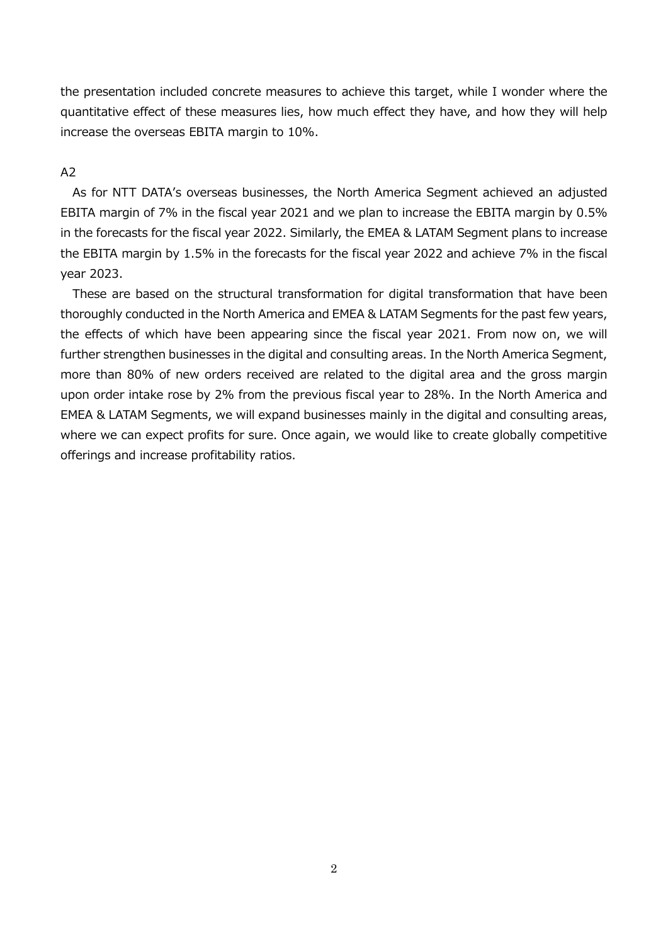the presentation included concrete measures to achieve this target, while I wonder where the quantitative effect of these measures lies, how much effect they have, and how they will help increase the overseas EBITA margin to 10%.

### A2

As for NTT DATA's overseas businesses, the North America Segment achieved an adjusted EBITA margin of 7% in the fiscal year 2021 and we plan to increase the EBITA margin by 0.5% in the forecasts for the fiscal year 2022. Similarly, the EMEA & LATAM Segment plans to increase the EBITA margin by 1.5% in the forecasts for the fiscal year 2022 and achieve 7% in the fiscal year 2023.

These are based on the structural transformation for digital transformation that have been thoroughly conducted in the North America and EMEA & LATAM Segments for the past few years, the effects of which have been appearing since the fiscal year 2021. From now on, we will further strengthen businesses in the digital and consulting areas. In the North America Segment, more than 80% of new orders received are related to the digital area and the gross margin upon order intake rose by 2% from the previous fiscal year to 28%. In the North America and EMEA & LATAM Segments, we will expand businesses mainly in the digital and consulting areas, where we can expect profits for sure. Once again, we would like to create globally competitive offerings and increase profitability ratios.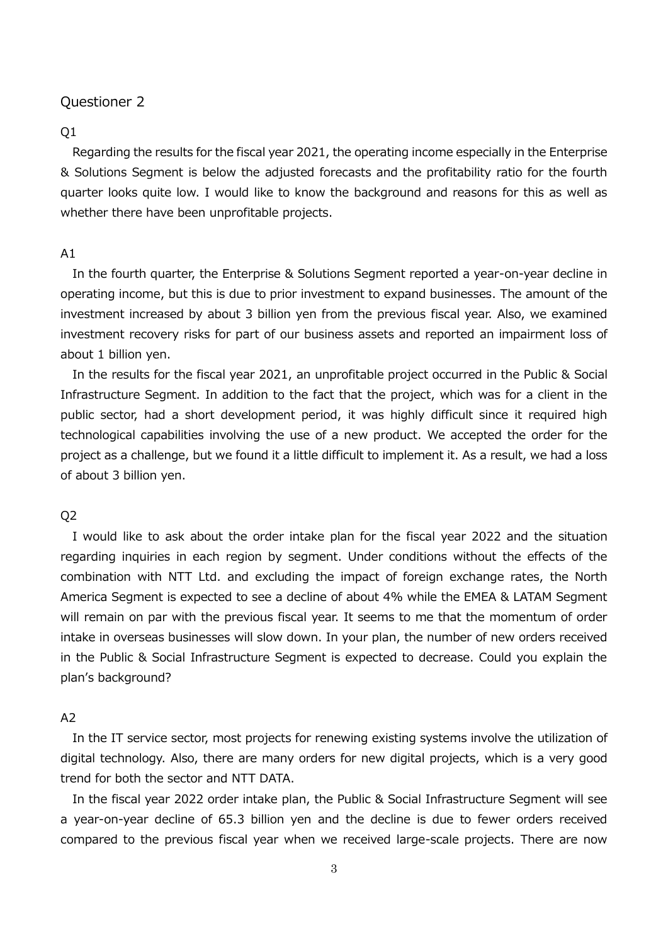#### $O<sub>1</sub>$

Regarding the results for the fiscal year 2021, the operating income especially in the Enterprise & Solutions Segment is below the adjusted forecasts and the profitability ratio for the fourth quarter looks quite low. I would like to know the background and reasons for this as well as whether there have been unprofitable projects.

#### $A1$

In the fourth quarter, the Enterprise & Solutions Segment reported a year-on-year decline in operating income, but this is due to prior investment to expand businesses. The amount of the investment increased by about 3 billion yen from the previous fiscal year. Also, we examined investment recovery risks for part of our business assets and reported an impairment loss of about 1 billion yen.

In the results for the fiscal year 2021, an unprofitable project occurred in the Public & Social Infrastructure Segment. In addition to the fact that the project, which was for a client in the public sector, had a short development period, it was highly difficult since it required high technological capabilities involving the use of a new product. We accepted the order for the project as a challenge, but we found it a little difficult to implement it. As a result, we had a loss of about 3 billion yen.

### Q2

I would like to ask about the order intake plan for the fiscal year 2022 and the situation regarding inquiries in each region by segment. Under conditions without the effects of the combination with NTT Ltd. and excluding the impact of foreign exchange rates, the North America Segment is expected to see a decline of about 4% while the EMEA & LATAM Segment will remain on par with the previous fiscal year. It seems to me that the momentum of order intake in overseas businesses will slow down. In your plan, the number of new orders received in the Public & Social Infrastructure Segment is expected to decrease. Could you explain the plan's background?

### A2

In the IT service sector, most projects for renewing existing systems involve the utilization of digital technology. Also, there are many orders for new digital projects, which is a very good trend for both the sector and NTT DATA.

In the fiscal year 2022 order intake plan, the Public & Social Infrastructure Segment will see a year-on-year decline of 65.3 billion yen and the decline is due to fewer orders received compared to the previous fiscal year when we received large-scale projects. There are now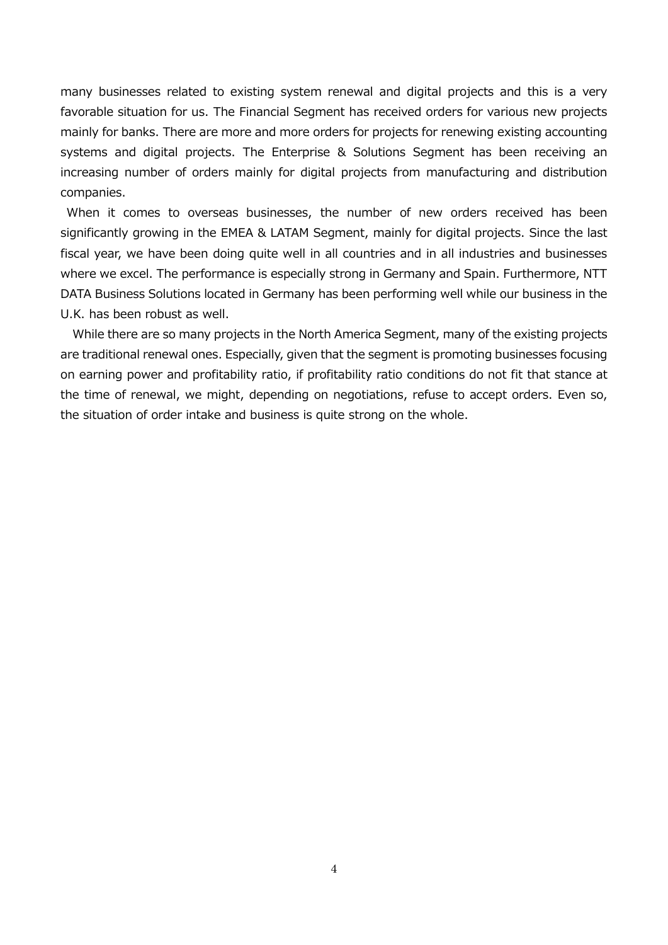many businesses related to existing system renewal and digital projects and this is a very favorable situation for us. The Financial Segment has received orders for various new projects mainly for banks. There are more and more orders for projects for renewing existing accounting systems and digital projects. The Enterprise & Solutions Segment has been receiving an increasing number of orders mainly for digital projects from manufacturing and distribution companies.

When it comes to overseas businesses, the number of new orders received has been significantly growing in the EMEA & LATAM Segment, mainly for digital projects. Since the last fiscal year, we have been doing quite well in all countries and in all industries and businesses where we excel. The performance is especially strong in Germany and Spain. Furthermore, NTT DATA Business Solutions located in Germany has been performing well while our business in the U.K. has been robust as well.

While there are so many projects in the North America Segment, many of the existing projects are traditional renewal ones. Especially, given that the segment is promoting businesses focusing on earning power and profitability ratio, if profitability ratio conditions do not fit that stance at the time of renewal, we might, depending on negotiations, refuse to accept orders. Even so, the situation of order intake and business is quite strong on the whole.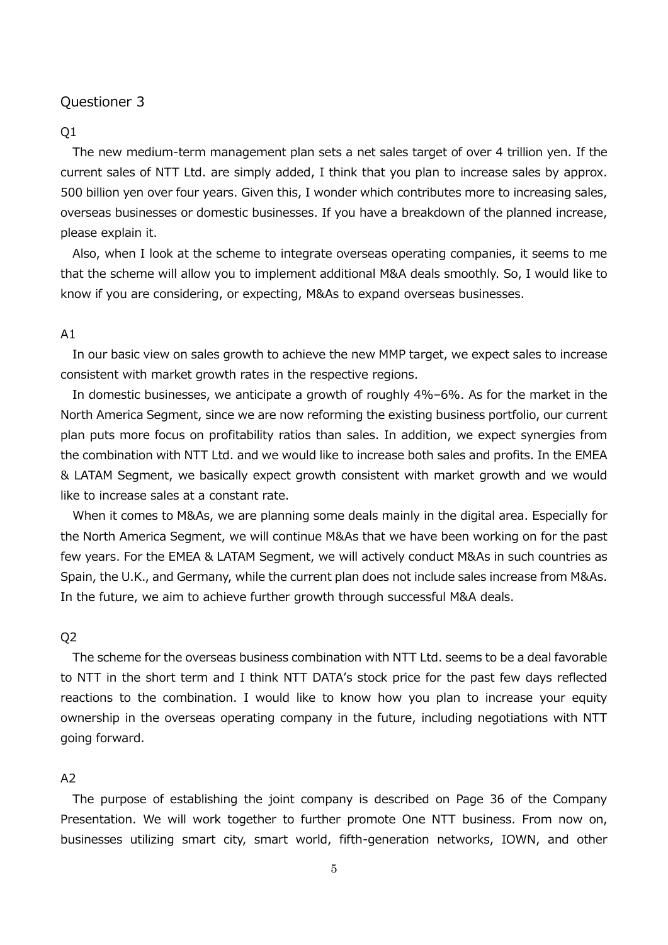#### $O<sub>1</sub>$

The new medium-term management plan sets a net sales target of over 4 trillion yen. If the current sales of NTT Ltd. are simply added, I think that you plan to increase sales by approx. 500 billion yen over four years. Given this, I wonder which contributes more to increasing sales, overseas businesses or domestic businesses. If you have a breakdown of the planned increase, please explain it.

Also, when I look at the scheme to integrate overseas operating companies, it seems to me that the scheme will allow you to implement additional M&A deals smoothly. So, I would like to know if you are considering, or expecting, M&As to expand overseas businesses.

#### A1

In our basic view on sales growth to achieve the new MMP target, we expect sales to increase consistent with market growth rates in the respective regions.

In domestic businesses, we anticipate a growth of roughly 4%–6%. As for the market in the North America Segment, since we are now reforming the existing business portfolio, our current plan puts more focus on profitability ratios than sales. In addition, we expect synergies from the combination with NTT Ltd. and we would like to increase both sales and profits. In the EMEA & LATAM Segment, we basically expect growth consistent with market growth and we would like to increase sales at a constant rate.

When it comes to M&As, we are planning some deals mainly in the digital area. Especially for the North America Segment, we will continue M&As that we have been working on for the past few years. For the EMEA & LATAM Segment, we will actively conduct M&As in such countries as Spain, the U.K., and Germany, while the current plan does not include sales increase from M&As. In the future, we aim to achieve further growth through successful M&A deals.

### Q2

The scheme for the overseas business combination with NTT Ltd. seems to be a deal favorable to NTT in the short term and I think NTT DATA's stock price for the past few days reflected reactions to the combination. I would like to know how you plan to increase your equity ownership in the overseas operating company in the future, including negotiations with NTT going forward.

# A2

The purpose of establishing the joint company is described on Page 36 of the Company Presentation. We will work together to further promote One NTT business. From now on, businesses utilizing smart city, smart world, fifth-generation networks, IOWN, and other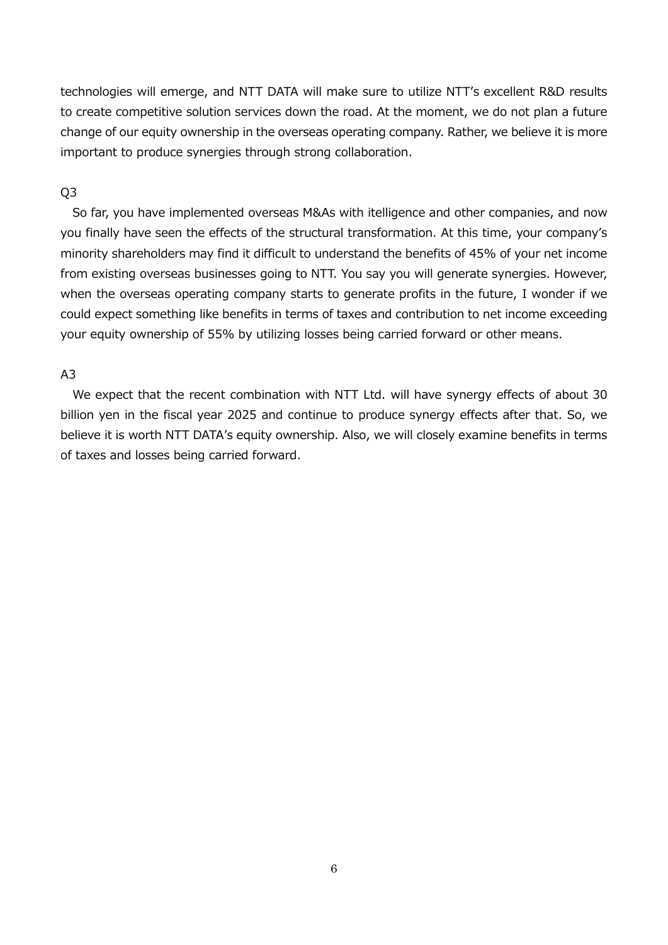technologies will emerge, and NTT DATA will make sure to utilize NTT's excellent R&D results to create competitive solution services down the road. At the moment, we do not plan a future change of our equity ownership in the overseas operating company. Rather, we believe it is more important to produce synergies through strong collaboration.

### Q3

So far, you have implemented overseas M&As with itelligence and other companies, and now you finally have seen the effects of the structural transformation. At this time, your company's minority shareholders may find it difficult to understand the benefits of 45% of your net income from existing overseas businesses going to NTT. You say you will generate synergies. However, when the overseas operating company starts to generate profits in the future, I wonder if we could expect something like benefits in terms of taxes and contribution to net income exceeding your equity ownership of 55% by utilizing losses being carried forward or other means.

# A3

We expect that the recent combination with NTT Ltd. will have synergy effects of about 30 billion yen in the fiscal year 2025 and continue to produce synergy effects after that. So, we believe it is worth NTT DATA's equity ownership. Also, we will closely examine benefits in terms of taxes and losses being carried forward.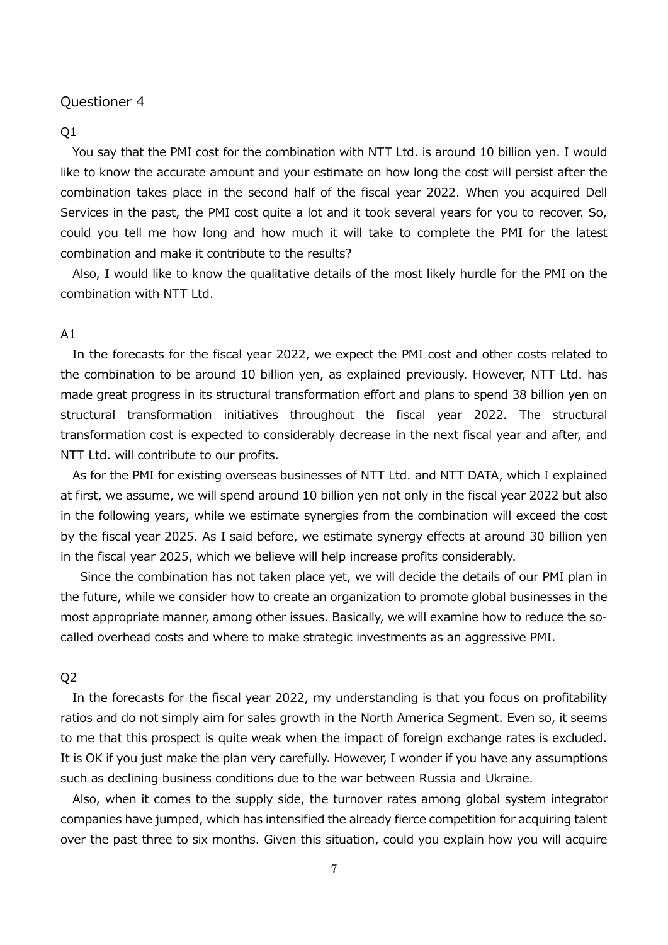#### Q1

You say that the PMI cost for the combination with NTT Ltd. is around 10 billion yen. I would like to know the accurate amount and your estimate on how long the cost will persist after the combination takes place in the second half of the fiscal year 2022. When you acquired Dell Services in the past, the PMI cost quite a lot and it took several years for you to recover. So, could you tell me how long and how much it will take to complete the PMI for the latest combination and make it contribute to the results?

Also, I would like to know the qualitative details of the most likely hurdle for the PMI on the combination with NTT Ltd.

#### A1

In the forecasts for the fiscal year 2022, we expect the PMI cost and other costs related to the combination to be around 10 billion yen, as explained previously. However, NTT Ltd. has made great progress in its structural transformation effort and plans to spend 38 billion yen on structural transformation initiatives throughout the fiscal year 2022. The structural transformation cost is expected to considerably decrease in the next fiscal year and after, and NTT Ltd. will contribute to our profits.

As for the PMI for existing overseas businesses of NTT Ltd. and NTT DATA, which I explained at first, we assume, we will spend around 10 billion yen not only in the fiscal year 2022 but also in the following years, while we estimate synergies from the combination will exceed the cost by the fiscal year 2025. As I said before, we estimate synergy effects at around 30 billion yen in the fiscal year 2025, which we believe will help increase profits considerably.

Since the combination has not taken place yet, we will decide the details of our PMI plan in the future, while we consider how to create an organization to promote global businesses in the most appropriate manner, among other issues. Basically, we will examine how to reduce the socalled overhead costs and where to make strategic investments as an aggressive PMI.

#### Q2

In the forecasts for the fiscal year 2022, my understanding is that you focus on profitability ratios and do not simply aim for sales growth in the North America Segment. Even so, it seems to me that this prospect is quite weak when the impact of foreign exchange rates is excluded. It is OK if you just make the plan very carefully. However, I wonder if you have any assumptions such as declining business conditions due to the war between Russia and Ukraine.

Also, when it comes to the supply side, the turnover rates among global system integrator companies have jumped, which has intensified the already fierce competition for acquiring talent over the past three to six months. Given this situation, could you explain how you will acquire

7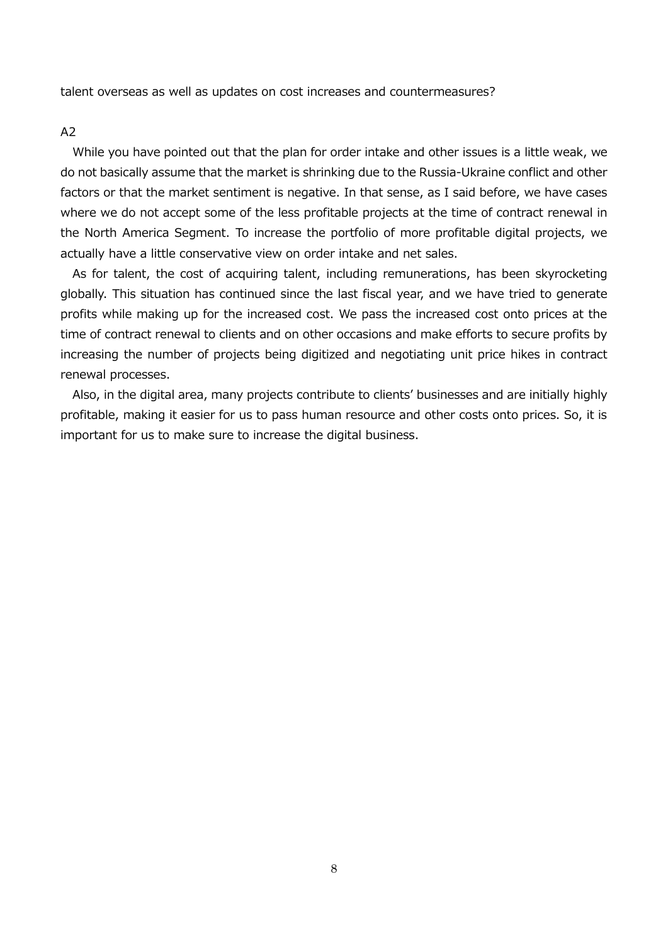talent overseas as well as updates on cost increases and countermeasures?

#### $A<sub>2</sub>$

While you have pointed out that the plan for order intake and other issues is a little weak, we do not basically assume that the market is shrinking due to the Russia-Ukraine conflict and other factors or that the market sentiment is negative. In that sense, as I said before, we have cases where we do not accept some of the less profitable projects at the time of contract renewal in the North America Segment. To increase the portfolio of more profitable digital projects, we actually have a little conservative view on order intake and net sales.

As for talent, the cost of acquiring talent, including remunerations, has been skyrocketing globally. This situation has continued since the last fiscal year, and we have tried to generate profits while making up for the increased cost. We pass the increased cost onto prices at the time of contract renewal to clients and on other occasions and make efforts to secure profits by increasing the number of projects being digitized and negotiating unit price hikes in contract renewal processes.

Also, in the digital area, many projects contribute to clients' businesses and are initially highly profitable, making it easier for us to pass human resource and other costs onto prices. So, it is important for us to make sure to increase the digital business.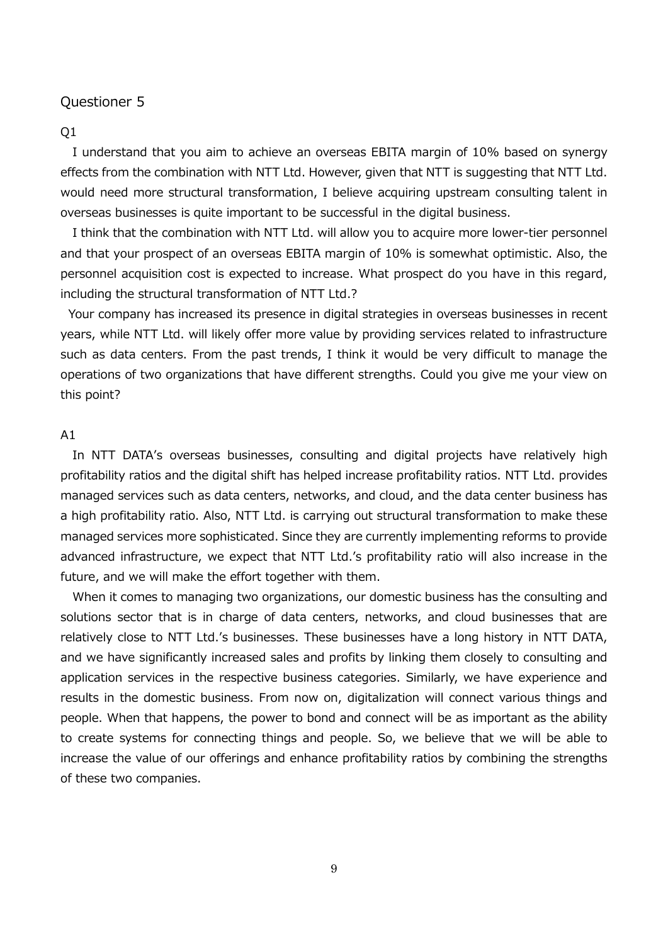### $O<sub>1</sub>$

I understand that you aim to achieve an overseas EBITA margin of 10% based on synergy effects from the combination with NTT Ltd. However, given that NTT is suggesting that NTT Ltd. would need more structural transformation, I believe acquiring upstream consulting talent in overseas businesses is quite important to be successful in the digital business.

I think that the combination with NTT Ltd. will allow you to acquire more lower-tier personnel and that your prospect of an overseas EBITA margin of 10% is somewhat optimistic. Also, the personnel acquisition cost is expected to increase. What prospect do you have in this regard, including the structural transformation of NTT Ltd.?

Your company has increased its presence in digital strategies in overseas businesses in recent years, while NTT Ltd. will likely offer more value by providing services related to infrastructure such as data centers. From the past trends, I think it would be very difficult to manage the operations of two organizations that have different strengths. Could you give me your view on this point?

### $A1$

In NTT DATA's overseas businesses, consulting and digital projects have relatively high profitability ratios and the digital shift has helped increase profitability ratios. NTT Ltd. provides managed services such as data centers, networks, and cloud, and the data center business has a high profitability ratio. Also, NTT Ltd. is carrying out structural transformation to make these managed services more sophisticated. Since they are currently implementing reforms to provide advanced infrastructure, we expect that NTT Ltd.'s profitability ratio will also increase in the future, and we will make the effort together with them.

When it comes to managing two organizations, our domestic business has the consulting and solutions sector that is in charge of data centers, networks, and cloud businesses that are relatively close to NTT Ltd.'s businesses. These businesses have a long history in NTT DATA, and we have significantly increased sales and profits by linking them closely to consulting and application services in the respective business categories. Similarly, we have experience and results in the domestic business. From now on, digitalization will connect various things and people. When that happens, the power to bond and connect will be as important as the ability to create systems for connecting things and people. So, we believe that we will be able to increase the value of our offerings and enhance profitability ratios by combining the strengths of these two companies.